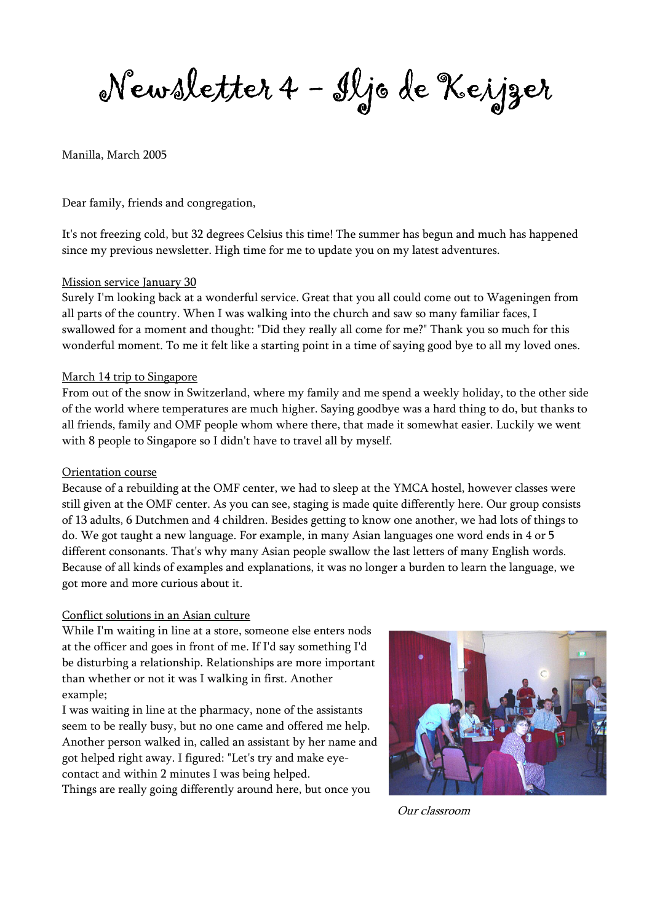Newsletter 4 - Iljo de Keijzer

### Manilla, March 2005

Dear family, friends and congregation,

It's not freezing cold, but 32 degrees Celsius this time! The summer has begun and much has happened since my previous newsletter. High time for me to update you on my latest adventures.

### Mission service January 30

Surely I'm looking back at a wonderful service. Great that you all could come out to Wageningen from all parts of the country. When I was walking into the church and saw so many familiar faces, I swallowed for a moment and thought: "Did they really all come for me?" Thank you so much for this wonderful moment. To me it felt like a starting point in a time of saying good bye to all my loved ones.

#### March 14 trip to Singapore

From out of the snow in Switzerland, where my family and me spend a weekly holiday, to the other side of the world where temperatures are much higher. Saying goodbye was a hard thing to do, but thanks to all friends, family and OMF people whom where there, that made it somewhat easier. Luckily we went with 8 people to Singapore so I didn't have to travel all by myself.

#### Orientation course

Because of a rebuilding at the OMF center, we had to sleep at the YMCA hostel, however classes were still given at the OMF center. As you can see, staging is made quite differently here. Our group consists of 13 adults, 6 Dutchmen and 4 children. Besides getting to know one another, we had lots of things to do. We got taught a new language. For example, in many Asian languages one word ends in 4 or 5 different consonants. That's why many Asian people swallow the last letters of many English words. Because of all kinds of examples and explanations, it was no longer a burden to learn the language, we got more and more curious about it.

#### Conflict solutions in an Asian culture

While I'm waiting in line at a store, someone else enters nods at the officer and goes in front of me. If I'd say something I'd be disturbing a relationship. Relationships are more important than whether or not it was I walking in first. Another example;

I was waiting in line at the pharmacy, none of the assistants seem to be really busy, but no one came and offered me help. Another person walked in, called an assistant by her name and got helped right away. I figured: "Let's try and make eyecontact and within 2 minutes I was being helped.

Things are really going differently around here, but once you



Our classroom